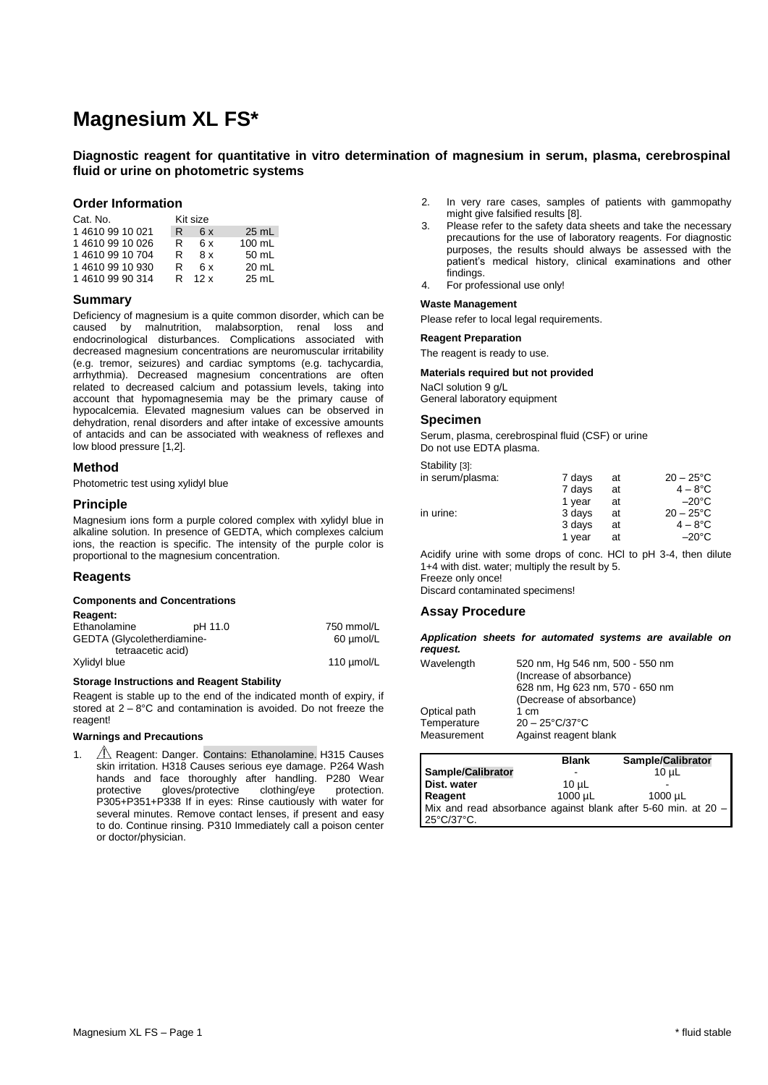# **Magnesium XL FS\***

# **Diagnostic reagent for quantitative in vitro determination of magnesium in serum, plasma, cerebrospinal fluid or urine on photometric systems**

### **Order Information**

| Cat. No.     |    | Kit size |         |
|--------------|----|----------|---------|
| 146109910021 | R. | 6x       | $25$ mL |
| 146109910026 | R  | 6x       | 100 mL  |
| 146109910704 | R  | 8x       | 50 mL   |
| 146109910930 | R  | 6x       | 20 mL   |
| 146109990314 | R  | 12x      | 25 mL   |

# **Summary**

Deficiency of magnesium is a quite common disorder, which can be caused by malnutrition, malabsorption, renal loss and endocrinological disturbances. Complications associated with decreased magnesium concentrations are neuromuscular irritability (e.g. tremor, seizures) and cardiac symptoms (e.g. tachycardia, arrhythmia). Decreased magnesium concentrations are often related to decreased calcium and potassium levels, taking into account that hypomagnesemia may be the primary cause of hypocalcemia. Elevated magnesium values can be observed in dehydration, renal disorders and after intake of excessive amounts of antacids and can be associated with weakness of reflexes and low blood pressure [1,2].

# **Method**

Photometric test using xylidyl blue

# **Principle**

Magnesium ions form a purple colored complex with xylidyl blue in alkaline solution. In presence of GEDTA, which complexes calcium ions, the reaction is specific. The intensity of the purple color is proportional to the magnesium concentration.

# **Reagents**

#### **Components and Concentrations**

| Reagent: |  |
|----------|--|
|----------|--|

| Ethanolamine               | pH 11.0 | 750 mmol/L      |
|----------------------------|---------|-----------------|
| GEDTA (Glycoletherdiamine- |         | 60 µmol/L       |
| tetraacetic acid)          |         |                 |
| Xylidyl blue               |         | 110 $\mu$ mol/L |

#### **Storage Instructions and Reagent Stability**

Reagent is stable up to the end of the indicated month of expiry, if stored at 2 – 8°C and contamination is avoided. Do not freeze the reagent!

#### **Warnings and Precautions**

1. **A** Reagent: Danger. Contains: Ethanolamine. H315 Causes skin irritation. H318 Causes serious eye damage. P264 Wash hands and face thoroughly after handling. P280 Wear<br>protective gloves/protective clothing/eve protection. protective gloves/protective clothing/eye protection. P305+P351+P338 If in eyes: Rinse cautiously with water for several minutes. Remove contact lenses, if present and easy to do. Continue rinsing. P310 Immediately call a poison center or doctor/physician.

- 2. In very rare cases, samples of patients with gammopathy might give falsified results [8].
- 3. Please refer to the safety data sheets and take the necessary precautions for the use of laboratory reagents. For diagnostic purposes, the results should always be assessed with the patient's medical history, clinical examinations and other findings.
- 4. For professional use only!

# **Waste Management**

Please refer to local legal requirements.

#### **Reagent Preparation**

The reagent is ready to use.

#### **Materials required but not provided**

NaCl solution 9 g/L General laboratory equipment

#### **Specimen**

Serum, plasma, cerebrospinal fluid (CSF) or urine Do not use EDTA plasma.

Stability [3]:

| U                |        |    |                    |
|------------------|--------|----|--------------------|
| in serum/plasma: | 7 days | at | $20 - 25^{\circ}C$ |
|                  | 7 days | at | $4-8$ °C           |
|                  | 1 year | at | $-20^{\circ}$ C    |
| in urine:        | 3 days | at | $20 - 25^{\circ}C$ |
|                  | 3 days | at | $4-8$ °C           |
|                  | 1 year | at | $-20^{\circ}$ C    |
|                  |        |    |                    |

Acidify urine with some drops of conc. HCl to pH 3-4, then dilute 1+4 with dist. water; multiply the result by 5. Freeze only once! Discard contaminated specimens!

#### **Assay Procedure**

*Application sheets for automated systems are available on request.*

| Wavelength   | 520 nm, Hg 546 nm, 500 - 550 nm<br>(Increase of absorbance)<br>628 nm, Hg 623 nm, 570 - 650 nm<br>(Decrease of absorbance) |
|--------------|----------------------------------------------------------------------------------------------------------------------------|
| Optical path | 1 cm                                                                                                                       |
| Temperature  | $20 - 25^{\circ}C/37^{\circ}C$                                                                                             |
| Measurement  | Against reagent blank                                                                                                      |

|                                                               | <b>Blank</b> | Sample/Calibrator |
|---------------------------------------------------------------|--------------|-------------------|
| Sample/Calibrator                                             | -            | $10u$ L           |
| Dist. water                                                   | $10 \mu L$   | -                 |
| Reagent                                                       | $1000 \mu L$ | 1000 uL           |
| Mix and read absorbance against blank after 5-60 min. at 20 - |              |                   |
| 25°C/37°C.                                                    |              |                   |